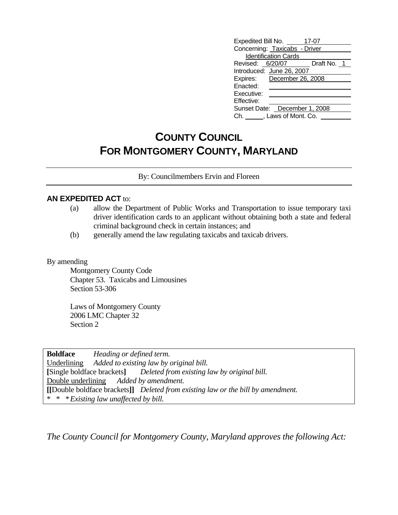| Expedited Bill No.<br>17-07   |  |  |  |  |
|-------------------------------|--|--|--|--|
| Concerning: Taxicabs - Driver |  |  |  |  |
| <b>Identification Cards</b>   |  |  |  |  |
| Revised: 6/20/07 Draft No. 1  |  |  |  |  |
| Introduced: June 26, 2007     |  |  |  |  |
| Expires: December 26, 2008    |  |  |  |  |
| Enacted:                      |  |  |  |  |
| Executive:                    |  |  |  |  |
| Effective:                    |  |  |  |  |
| Sunset Date: December 1, 2008 |  |  |  |  |
| Ch. J. Laws of Mont. Co.      |  |  |  |  |

# **COUNTY COUNCIL FOR MONTGOMERY COUNTY, MARYLAND**

By: Councilmembers Ervin and Floreen

#### **AN EXPEDITED ACT** to:

- (a) allow the Department of Public Works and Transportation to issue temporary taxi driver identification cards to an applicant without obtaining both a state and federal criminal background check in certain instances; and
- (b) generally amend the law regulating taxicabs and taxicab drivers.

#### By amending

Montgomery County Code Chapter 53. Taxicabs and Limousines Section 53-306

Laws of Montgomery County 2006 LMC Chapter 32 Section 2

**Boldface** *Heading or defined term.*  Underlining *Added to existing law by original bill.*  **[**Single boldface brackets**]** *Deleted from existing law by original bill.*  Double underlining *Added by amendment.* **[[**Double boldface brackets**]]** *Deleted from existing law or the bill by amendment.*  \* \* \* *Existing law unaffected by bill.* 

*The County Council for Montgomery County, Maryland approves the following Act:*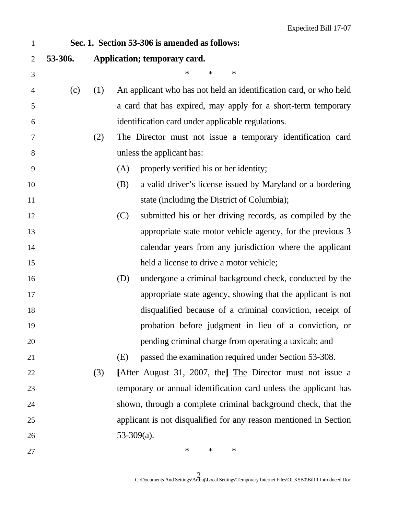| $\mathbf{1}$   |         |     | Sec. 1. Section 53-306 is amended as follows:                     |  |
|----------------|---------|-----|-------------------------------------------------------------------|--|
| $\overline{2}$ | 53-306. |     | Application; temporary card.                                      |  |
| 3              |         |     | $\ast$<br>$\ast$<br>∗                                             |  |
| $\overline{4}$ | (c)     | (1) | An applicant who has not held an identification card, or who held |  |
| 5              |         |     | a card that has expired, may apply for a short-term temporary     |  |
| 6              |         |     | identification card under applicable regulations.                 |  |
| $\tau$         |         | (2) | The Director must not issue a temporary identification card       |  |
| $8\,$          |         |     | unless the applicant has:                                         |  |
| 9              |         |     | properly verified his or her identity;<br>(A)                     |  |
| 10             |         |     | a valid driver's license issued by Maryland or a bordering<br>(B) |  |
| 11             |         |     | state (including the District of Columbia);                       |  |
| 12             |         |     | (C)<br>submitted his or her driving records, as compiled by the   |  |
| 13             |         |     | appropriate state motor vehicle agency, for the previous 3        |  |
| 14             |         |     | calendar years from any jurisdiction where the applicant          |  |
| 15             |         |     | held a license to drive a motor vehicle;                          |  |
| 16             |         |     | undergone a criminal background check, conducted by the<br>(D)    |  |
| 17             |         |     | appropriate state agency, showing that the applicant is not       |  |
| 18             |         |     | disqualified because of a criminal conviction, receipt of         |  |
| 19             |         |     | probation before judgment in lieu of a conviction, or             |  |
| 20             |         |     | pending criminal charge from operating a taxicab; and             |  |
| 21             |         |     | passed the examination required under Section 53-308.<br>(E)      |  |
| 22             |         | (3) | [After August 31, 2007, the] The Director must not issue a        |  |
| 23             |         |     | temporary or annual identification card unless the applicant has  |  |
| 24             |         |     | shown, through a complete criminal background check, that the     |  |
| 25             |         |     | applicant is not disqualified for any reason mentioned in Section |  |
| 26             |         |     | $53-309(a)$ .                                                     |  |
| 27             |         |     | $\ast$<br>∗<br>$\ast$                                             |  |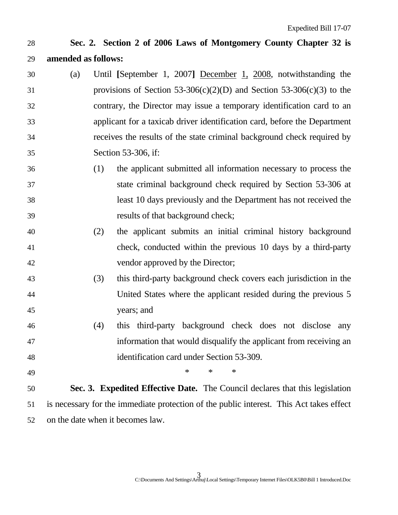### 28 **Sec. 2. Section 2 of 2006 Laws of Montgomery County Chapter 32 is**  29 **amended as follows:**

- 30 (a) Until **[**September 1, 2007**]** December 1, 2008, notwithstanding the 31 provisions of Section 53-306(c)(2)(D) and Section 53-306(c)(3) to the 32 contrary, the Director may issue a temporary identification card to an 33 applicant for a taxicab driver identification card, before the Department 34 receives the results of the state criminal background check required by 35 Section 53-306, if:
- 36 (1) the applicant submitted all information necessary to process the 37 state criminal background check required by Section 53-306 at 38 least 10 days previously and the Department has not received the 39 results of that background check;
- 40 (2) the applicant submits an initial criminal history background 41 check, conducted within the previous 10 days by a third-party 42 vendor approved by the Director;
- 43 (3) this third-party background check covers each jurisdiction in the 44 United States where the applicant resided during the previous 5 45 years; and
- 46 (4) this third-party background check does not disclose any 47 information that would disqualify the applicant from receiving an 48 identification card under Section 53-309.
- 

49 \* \* \* \* \*

50 **Sec. 3. Expedited Effective Date.** The Council declares that this legislation 51 is necessary for the immediate protection of the public interest. This Act takes effect 52 on the date when it becomes law.